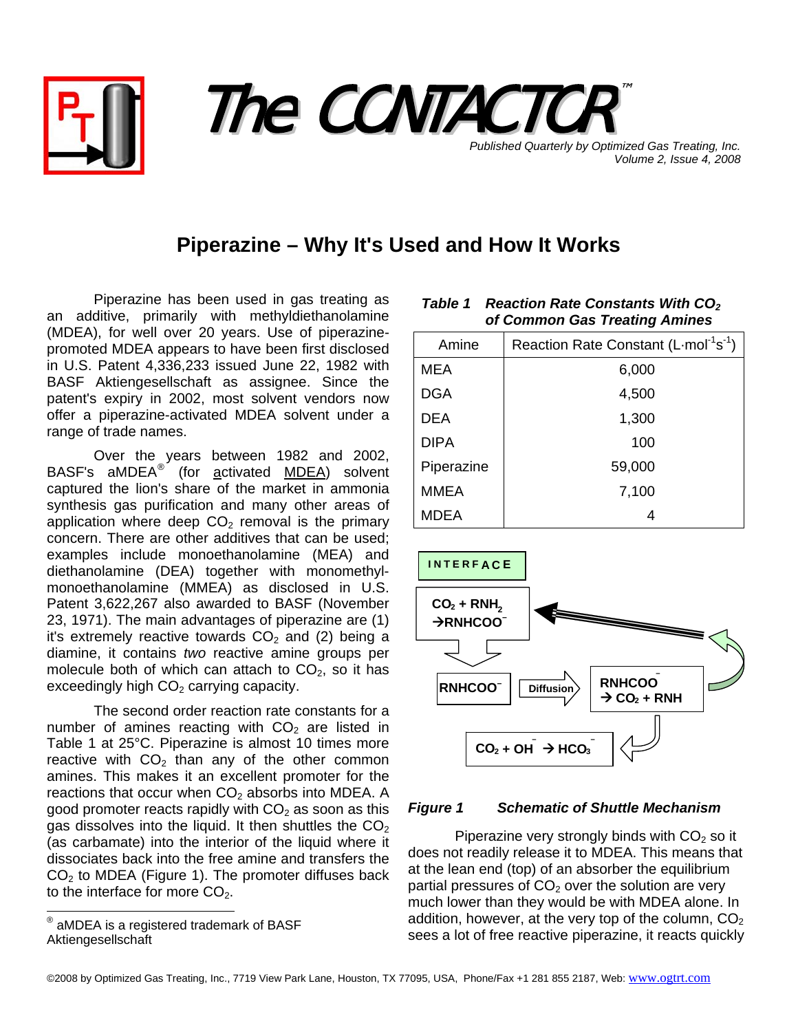



**Published Quarterly by Optimized Gas Treating, Inc.** *Volume 2, Issue 4, 2008*

## **Piperazine – Why It's Used and How It Works**

Piperazine has been used in gas treating as an additive, primarily with methyldiethanolamine (MDEA), for well over 20 years. Use of piperazinepromoted MDEA appears to have been first disclosed in U.S. Patent 4,336,233 issued June 22, 1982 with BASF Aktiengesellschaft as assignee. Since the patent's expiry in 2002, most solvent vendors now offer a piperazine-activated MDEA solvent under a range of trade names.

Over the years between 1982 and 2002, BASF's aMDEA<sup>[®](#page-0-0)'</sup> (for activated MDEA) solvent captured the lion's share of the market in ammonia synthesis gas purification and many other areas of application where deep  $CO<sub>2</sub>$  removal is the primary concern. There are other additives that can be used; examples include monoethanolamine (MEA) and diethanolamine (DEA) together with monomethylmonoethanolamine (MMEA) as disclosed in U.S. Patent 3,622,267 also awarded to BASF (November 23, 1971). The main advantages of piperazine are (1) it's extremely reactive towards  $CO<sub>2</sub>$  and (2) being a diamine, it contains *two* reactive amine groups per molecule both of which can attach to  $CO<sub>2</sub>$ , so it has exceedingly high  $CO<sub>2</sub>$  carrying capacity.

The second order reaction rate constants for a number of amines reacting with  $CO<sub>2</sub>$  are listed in Table 1 at 25°C. Piperazine is almost 10 times more reactive with  $CO<sub>2</sub>$  than any of the other common amines. This makes it an excellent promoter for the reactions that occur when  $CO<sub>2</sub>$  absorbs into MDEA. A good promoter reacts rapidly with  $CO<sub>2</sub>$  as soon as this gas dissolves into the liquid. It then shuttles the  $CO<sub>2</sub>$ (as carbamate) into the interior of the liquid where it dissociates back into the free amine and transfers the  $CO<sub>2</sub>$  to MDEA (Figure 1). The promoter diffuses back to the interface for more  $CO<sub>2</sub>$ .

| Amine       | Reaction Rate Constant (L-mol <sup>-1</sup> s <sup>-1</sup> ) |  |  |
|-------------|---------------------------------------------------------------|--|--|
| <b>MEA</b>  | 6,000                                                         |  |  |
| <b>DGA</b>  | 4,500                                                         |  |  |
| <b>DEA</b>  | 1,300                                                         |  |  |
| <b>DIPA</b> | 100                                                           |  |  |
| Piperazine  | 59,000                                                        |  |  |
| <b>MMEA</b> | 7,100                                                         |  |  |
| <b>MDEA</b> |                                                               |  |  |

*Table 1* Reaction Rate Constants With CO<sub>2</sub>

*of Common Gas Treating Amines*



## *Figure 1 Schematic of Shuttle Mechanism*

Piperazine very strongly binds with  $CO<sub>2</sub>$  so it does not readily release it to MDEA. This means that at the lean end (top) of an absorber the equilibrium partial pressures of  $CO<sub>2</sub>$  over the solution are very much lower than they would be with MDEA alone. In addition, however, at the very top of the column,  $CO<sub>2</sub>$ sees a lot of free reactive piperazine, it reacts quickly

<span id="page-0-0"></span> ® aMDEA is a registered trademark of BASF Aktiengesellschaft